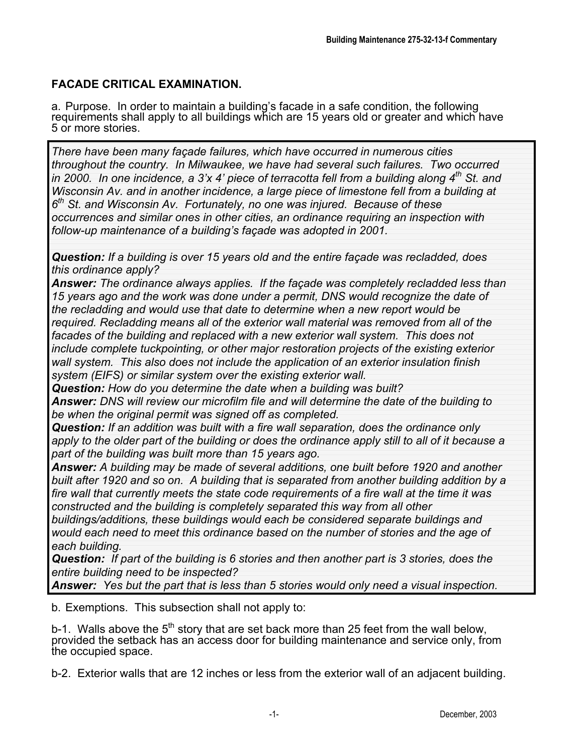## **FACADE CRITICAL EXAMINATION.**

a. Purpose. In order to maintain a building's facade in a safe condition, the following requirements shall apply to all buildings which are 15 years old or greater and which have 5 or more stories.

*There have been many façade failures, which have occurred in numerous cities throughout the country. In Milwaukee, we have had several such failures. Two occurred in 2000. In one incidence, a 3'x 4' piece of terracotta fell from a building along 4th St. and Wisconsin Av. and in another incidence, a large piece of limestone fell from a building at 6th St. and Wisconsin Av. Fortunately, no one was injured. Because of these occurrences and similar ones in other cities, an ordinance requiring an inspection with follow-up maintenance of a building's façade was adopted in 2001.*

*Question: If a building is over 15 years old and the entire façade was recladded, does this ordinance apply?*

*Answer: The ordinance always applies. If the façade was completely recladded less than 15 years ago and the work was done under a permit, DNS would recognize the date of the recladding and would use that date to determine when a new report would be required. Recladding means all of the exterior wall material was removed from all of the facades of the building and replaced with a new exterior wall system. This does not include complete tuckpointing, or other major restoration projects of the existing exterior wall system. This also does not include the application of an exterior insulation finish system (EIFS) or similar system over the existing exterior wall.*

*Question: How do you determine the date when a building was built?*

*Answer: DNS will review our microfilm file and will determine the date of the building to be when the original permit was signed off as completed.*

*Question: If an addition was built with a fire wall separation, does the ordinance only apply to the older part of the building or does the ordinance apply still to all of it because a part of the building was built more than 15 years ago.*

*Answer: A building may be made of several additions, one built before 1920 and another built after 1920 and so on. A building that is separated from another building addition by a fire wall that currently meets the state code requirements of a fire wall at the time it was constructed and the building is completely separated this way from all other*

*buildings/additions, these buildings would each be considered separate buildings and would each need to meet this ordinance based on the number of stories and the age of each building.*

*Question: If part of the building is 6 stories and then another part is 3 stories, does the entire building need to be inspected?*

*Answer: Yes but the part that is less than 5 stories would only need a visual inspection.*

b. Exemptions. This subsection shall not apply to:

b-1. Walls above the  $5<sup>th</sup>$  story that are set back more than 25 feet from the wall below, provided the setback has an access door for building maintenance and service only, from the occupied space.

b-2. Exterior walls that are 12 inches or less from the exterior wall of an adjacent building.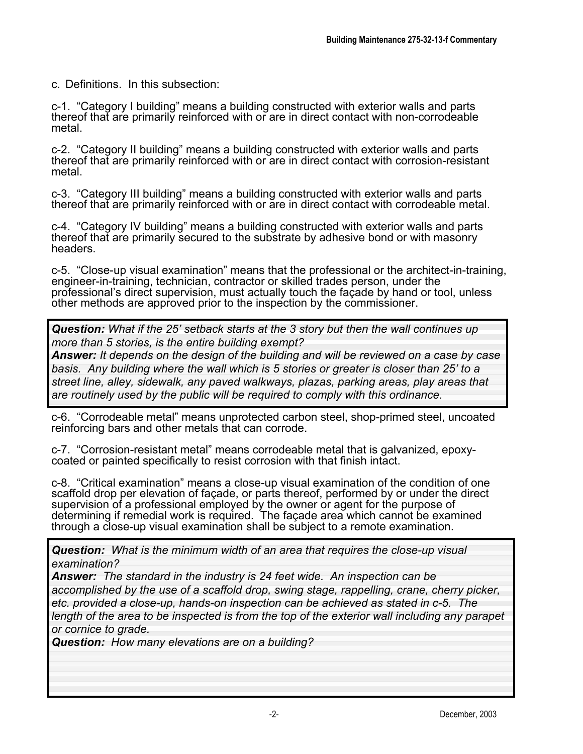c. Definitions. In this subsection:

c-1. "Category I building" means a building constructed with exterior walls and parts thereof that are primarily reinforced with or are in direct contact with non-corrodeable metal.

c-2. "Category II building" means a building constructed with exterior walls and parts thereof that are primarily reinforced with or are in direct contact with corrosion-resistant metal.

c-3. "Category III building" means a building constructed with exterior walls and parts thereof that are primarily reinforced with or are in direct contact with corrodeable metal.

c-4. "Category IV building" means a building constructed with exterior walls and parts thereof that are primarily secured to the substrate by adhesive bond or with masonry headers.

c-5. "Close-up visual examination" means that the professional or the architect-in-training, engineer-in-training, technician, contractor or skilled trades person, under the professional's direct supervision, must actually touch the façade by hand or tool, unless other methods are approved prior to the inspection by the commissioner.

*Question: What if the 25' setback starts at the 3 story but then the wall continues up more than 5 stories, is the entire building exempt?*

*Answer: It depends on the design of the building and will be reviewed on a case by case basis. Any building where the wall which is 5 stories or greater is closer than 25' to a street line, alley, sidewalk, any paved walkways, plazas, parking areas, play areas that are routinely used by the public will be required to comply with this ordinance.*

c-6. "Corrodeable metal" means unprotected carbon steel, shop-primed steel, uncoated reinforcing bars and other metals that can corrode.

c-7. "Corrosion-resistant metal" means corrodeable metal that is galvanized, epoxycoated or painted specifically to resist corrosion with that finish intact.

c-8. "Critical examination" means a close-up visual examination of the condition of one scaffold drop per elevation of façade, or parts thereof, performed by or under the direct supervision of a professional employed by the owner or agent for the purpose of determining if remedial work is required. The façade area which cannot be examined through a close-up visual examination shall be subject to a remote examination.

*Question: What is the minimum width of an area that requires the close-up visual examination?*

*Answer: The standard in the industry is 24 feet wide. An inspection can be accomplished by the use of a scaffold drop, swing stage, rappelling, crane, cherry picker, etc. provided a close-up, hands-on inspection can be achieved as stated in c-5. The length of the area to be inspected is from the top of the exterior wall including any parapet or cornice to grade.*

*Question: How many elevations are on a building?*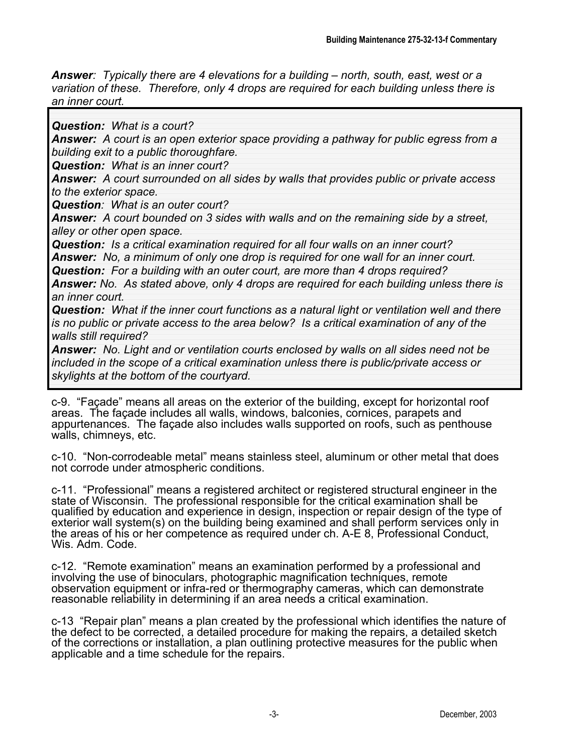*Answer: Typically there are 4 elevations for a building – north, south, east, west or a variation of these. Therefore, only 4 drops are required for each building unless there is an inner court.*

*Question: What is a court?*

*Answer: A court is an open exterior space providing a pathway for public egress from a building exit to a public thoroughfare.*

*Question: What is an inner court?*

*Answer: A court surrounded on all sides by walls that provides public or private access to the exterior space.*

*Question: What is an outer court?*

*Answer: A court bounded on 3 sides with walls and on the remaining side by a street, alley or other open space.*

*Question: Is a critical examination required for all four walls on an inner court?*

*Answer: No, a minimum of only one drop is required for one wall for an inner court.*

*Question: For a building with an outer court, are more than 4 drops required?*

*Answer: No. As stated above, only 4 drops are required for each building unless there is an inner court.*

*Question: What if the inner court functions as a natural light or ventilation well and there is no public or private access to the area below? Is a critical examination of any of the walls still required?*

*Answer: No. Light and or ventilation courts enclosed by walls on all sides need not be included in the scope of a critical examination unless there is public/private access or skylights at the bottom of the courtyard.*

c-9. "Façade" means all areas on the exterior of the building, except for horizontal roof areas. The façade includes all walls, windows, balconies, cornices, parapets and appurtenances. The façade also includes walls supported on roofs, such as penthouse walls, chimneys, etc.

c-10. "Non-corrodeable metal" means stainless steel, aluminum or other metal that does not corrode under atmospheric conditions.

c-11. "Professional" means a registered architect or registered structural engineer in the state of Wisconsin. The professional responsible for the critical examination shall be qualified by education and experience in design, inspection or repair design of the type of exterior wall system(s) on the building being examined and shall perform services only in the areas of his or her competence as required under ch. A-E 8, Professional Conduct, Wis. Adm. Code.

c-12. "Remote examination" means an examination performed by a professional and involving the use of binoculars, photographic magnification techniques, remote observation equipment or infra-red or thermography cameras, which can demonstrate reasonable reliability in determining if an area needs a critical examination.

c-13 "Repair plan" means a plan created by the professional which identifies the nature of the defect to be corrected, a detailed procedure for making the repairs, a detailed sketch of the corrections or installation, a plan outlining protective measures for the public when applicable and a time schedule for the repairs.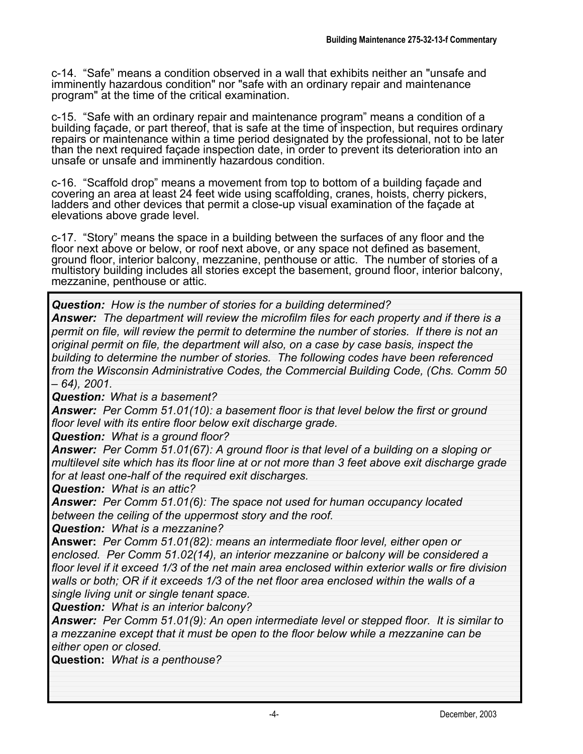c-14. "Safe" means a condition observed in a wall that exhibits neither an "unsafe and imminently hazardous condition" nor "safe with an ordinary repair and maintenance program" at the time of the critical examination.

c-15. "Safe with an ordinary repair and maintenance program" means a condition of a building façade, or part thereof, that is safe at the time of inspection, but requires ordinary repairs or maintenance within a time period designated by the professional, not to be later than the next required façade inspection date, in order to prevent its deterioration into an unsafe or unsafe and imminently hazardous condition.

c-16. "Scaffold drop" means a movement from top to bottom of a building façade and covering an area at least 24 feet wide using scaffolding, cranes, hoists, cherry pickers, ladders and other devices that permit a close-up visual examination of the façade at elevations above grade level.

c-17. "Story" means the space in a building between the surfaces of any floor and the floor next above or below, or roof next above, or any space not defined as basement, ground floor, interior balcony, mezzanine, penthouse or attic. The number of stories of a multistory building includes all stories except the basement, ground floor, interior balcony, mezzanine, penthouse or attic.

*Question: How is the number of stories for a building determined? Answer: The department will review the microfilm files for each property and if there is a permit on file, will review the permit to determine the number of stories. If there is not an original permit on file, the department will also, on a case by case basis, inspect the building to determine the number of stories. The following codes have been referenced from the Wisconsin Administrative Codes, the Commercial Building Code, (Chs. Comm 50 – 64), 2001.*

*Question: What is a basement?*

*Answer: Per Comm 51.01(10): a basement floor is that level below the first or ground floor level with its entire floor below exit discharge grade.*

*Question: What is a ground floor?*

*Answer: Per Comm 51.01(67): A ground floor is that level of a building on a sloping or multilevel site which has its floor line at or not more than 3 feet above exit discharge grade for at least one-half of the required exit discharges.*

*Question: What is an attic?*

*Answer: Per Comm 51.01(6): The space not used for human occupancy located between the ceiling of the uppermost story and the roof.*

*Question: What is a mezzanine?*

**Answer:** *Per Comm 51.01(82): means an intermediate floor level, either open or enclosed. Per Comm 51.02(14), an interior mezzanine or balcony will be considered a floor level if it exceed 1/3 of the net main area enclosed within exterior walls or fire division walls or both; OR if it exceeds 1/3 of the net floor area enclosed within the walls of a single living unit or single tenant space.*

*Question: What is an interior balcony?*

*Answer: Per Comm 51.01(9): An open intermediate level or stepped floor. It is similar to a mezzanine except that it must be open to the floor below while a mezzanine can be either open or closed.*

**Question:** *What is a penthouse?*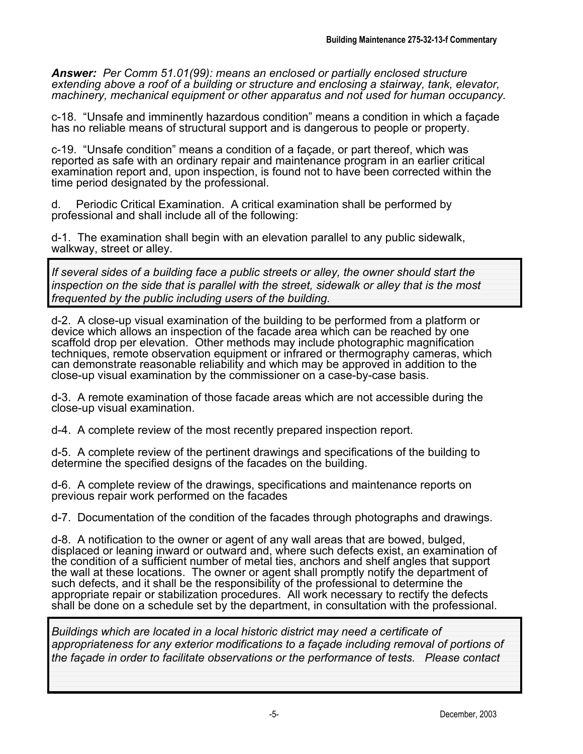*Answer: Per Comm 51.01(99): means an enclosed or partially enclosed structure extending above a roof of a building or structure and enclosing a stairway, tank, elevator, machinery, mechanical equipment or other apparatus and not used for human occupancy.*

c-18. "Unsafe and imminently hazardous condition" means a condition in which a façade has no reliable means of structural support and is dangerous to people or property.

c-19. "Unsafe condition" means a condition of a façade, or part thereof, which was reported as safe with an ordinary repair and maintenance program in an earlier critical examination report and, upon inspection, is found not to have been corrected within the time period designated by the professional.

d. Periodic Critical Examination. A critical examination shall be performed by professional and shall include all of the following:

d-1. The examination shall begin with an elevation parallel to any public sidewalk, walkway, street or alley.

*If several sides of a building face a public streets or alley, the owner should start the inspection on the side that is parallel with the street, sidewalk or alley that is the most frequented by the public including users of the building.*

d-2. A close-up visual examination of the building to be performed from a platform or device which allows an inspection of the facade area which can be reached by one scaffold drop per elevation. Other methods may include photographic magnification techniques, remote observation equipment or infrared or thermography cameras, which can demonstrate reasonable reliability and which may be approved in addition to the close-up visual examination by the commissioner on a case-by-case basis.

d-3. A remote examination of those facade areas which are not accessible during the close-up visual examination.

d-4. A complete review of the most recently prepared inspection report.

d-5. A complete review of the pertinent drawings and specifications of the building to determine the specified designs of the facades on the building.

d-6. A complete review of the drawings, specifications and maintenance reports on previous repair work performed on the facades

d-7. Documentation of the condition of the facades through photographs and drawings.

d-8. A notification to the owner or agent of any wall areas that are bowed, bulged, displaced or leaning inward or outward and, where such defects exist, an examination of the condition of a sufficient number of metal ties, anchors and shelf angles that support the wall at these locations. The owner or agent shall promptly notify the department of such defects, and it shall be the responsibility of the professional to determine the appropriate repair or stabilization procedures. All work necessary to rectify the defects shall be done on a schedule set by the department, in consultation with the professional.

*Buildings which are located in a local historic district may need a certificate of appropriateness for any exterior modifications to a façade including removal of portions of the façade in order to facilitate observations or the performance of tests. Please contact*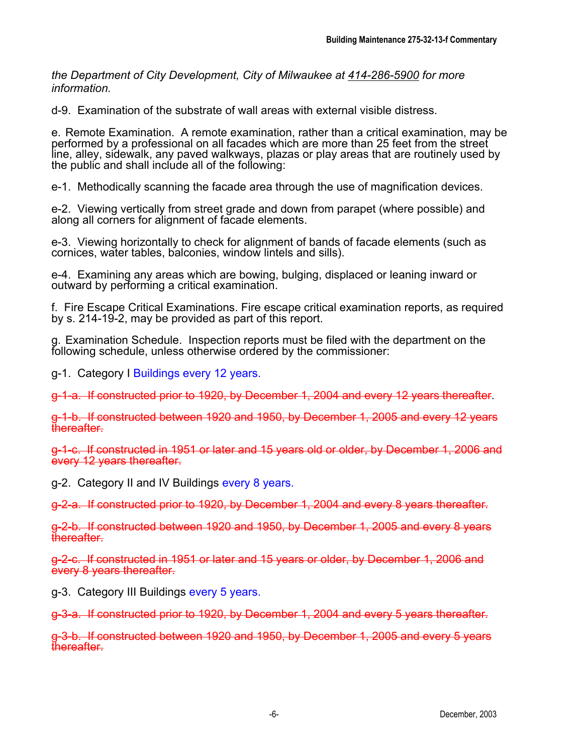*the Department of City Development, City of Milwaukee at 414-286-5900 for more information.*

d-9. Examination of the substrate of wall areas with external visible distress.

e. Remote Examination. A remote examination, rather than a critical examination, may be performed by a professional on all facades which are more than 25 feet from the street line, alley, sidewalk, any paved walkways, plazas or play areas that are routinely used by the public and shall include all of the following:

e-1. Methodically scanning the facade area through the use of magnification devices.

e-2. Viewing vertically from street grade and down from parapet (where possible) and along all corners for alignment of facade elements.

e-3. Viewing horizontally to check for alignment of bands of facade elements (such as cornices, water tables, balconies, window lintels and sills).

e-4. Examining any areas which are bowing, bulging, displaced or leaning inward or outward by performing a critical examination.

f. Fire Escape Critical Examinations. Fire escape critical examination reports, as required by s. 214-19-2, may be provided as part of this report.

g. Examination Schedule. Inspection reports must be filed with the department on the following schedule, unless otherwise ordered by the commissioner:

g-1. Category I Buildings every 12 years.

g-1-a. If constructed prior to 1920, by December 1, 2004 and every 12 years thereafter.

g-1-b. If constructed between 1920 and 1950, by December 1, 2005 and every 12 years thereafter.

g-1-c. If constructed in 1951 or later and 15 years old or older, by December 1, 2006 and every 12 years thereafter.

g-2. Category II and IV Buildings every 8 years.

g-2-a. If constructed prior to 1920, by December 1, 2004 and every 8 years thereafter.

g-2-b. If constructed between 1920 and 1950, by December 1, 2005 and every 8 years **thereafter** 

g-2-c. If constructed in 1951 or later and 15 years or older, by December 1, 2006 and every 8 years thereafter.

g-3. Category III Buildings every 5 years.

g-3-a. If constructed prior to 1920, by December 1, 2004 and every 5 years thereafter.

g-3-b. If constructed between 1920 and 1950, by December 1, 2005 and every 5 years thereafter.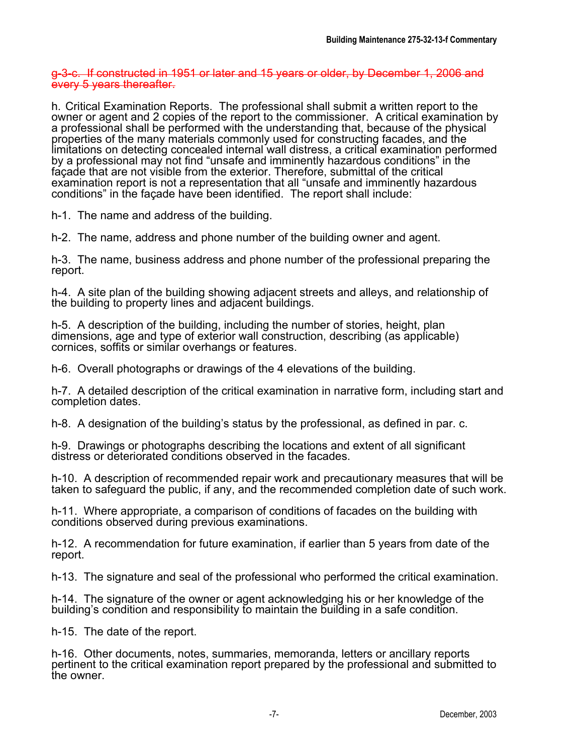g-3-c. If constructed in 1951 or later and 15 years or older, by December 1, 2006 and every 5 years thereafter.

h. Critical Examination Reports. The professional shall submit a written report to the owner or agent and 2 copies of the report to the commissioner. A critical examination by a professional shall be performed with the understanding that, because of the physical properties of the many materials commonly used for constructing facades, and the limitations on detecting concealed internal wall distress, a critical examination performed by a professional may not find "unsafe and imminently hazardous conditions" in the façade that are not visible from the exterior. Therefore, submittal of the critical examination report is not a representation that all "unsafe and imminently hazardous conditions" in the façade have been identified. The report shall include:

h-1. The name and address of the building.

h-2. The name, address and phone number of the building owner and agent.

h-3. The name, business address and phone number of the professional preparing the report.

h-4. A site plan of the building showing adjacent streets and alleys, and relationship of the building to property lines and adjacent buildings.

h-5. A description of the building, including the number of stories, height, plan dimensions, age and type of exterior wall construction, describing (as applicable) cornices, soffits or similar overhangs or features.

h-6. Overall photographs or drawings of the 4 elevations of the building.

h-7. A detailed description of the critical examination in narrative form, including start and completion dates.

h-8. A designation of the building's status by the professional, as defined in par. c.

h-9. Drawings or photographs describing the locations and extent of all significant distress or deteriorated conditions observed in the facades.

h-10. A description of recommended repair work and precautionary measures that will be taken to safeguard the public, if any, and the recommended completion date of such work.

h-11. Where appropriate, a comparison of conditions of facades on the building with conditions observed during previous examinations.

h-12. A recommendation for future examination, if earlier than 5 years from date of the report.

h-13. The signature and seal of the professional who performed the critical examination.

h-14. The signature of the owner or agent acknowledging his or her knowledge of the building's condition and responsibility to maintain the building in a safe condition.

h-15. The date of the report.

h-16. Other documents, notes, summaries, memoranda, letters or ancillary reports pertinent to the critical examination report prepared by the professional and submitted to the owner.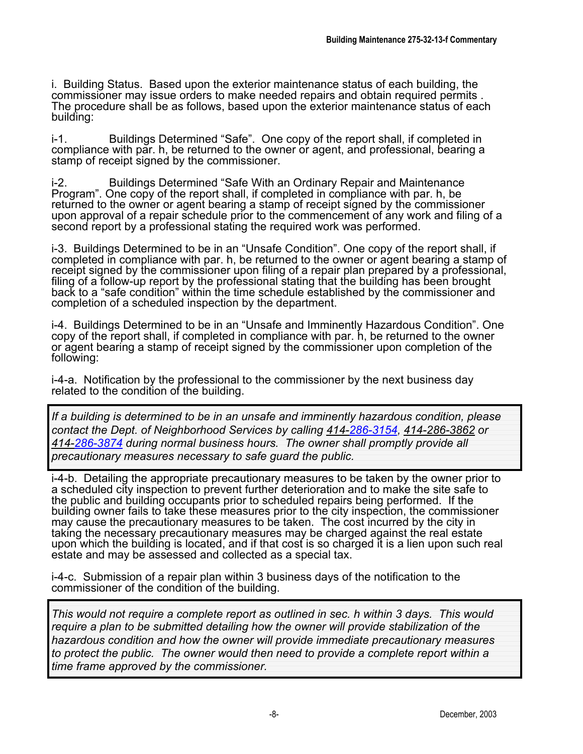i. Building Status. Based upon the exterior maintenance status of each building, the commissioner may issue orders to make needed repairs and obtain required permits . The procedure shall be as follows, based upon the exterior maintenance status of each building:

i-1. Buildings Determined "Safe". One copy of the report shall, if completed in compliance with par. h, be returned to the owner or agent, and professional, bearing a stamp of receipt signed by the commissioner.

i-2. Buildings Determined "Safe With an Ordinary Repair and Maintenance Program". One copy of the report shall, if completed in compliance with par. h, be returned to the owner or agent bearing a stamp of receipt signed by the commissioner upon approval of a repair schedule prior to the commencement of any work and filing of a second report by a professional stating the required work was performed.

i-3. Buildings Determined to be in an "Unsafe Condition". One copy of the report shall, if completed in compliance with par. h, be returned to the owner or agent bearing a stamp of receipt signed by the commissioner upon filing of a repair plan prepared by a professional, filing of a follow-up report by the professional stating that the building has been brought back to a "safe condition" within the time schedule established by the commissioner and completion of a scheduled inspection by the department.

i-4. Buildings Determined to be in an "Unsafe and Imminently Hazardous Condition". One copy of the report shall, if completed in compliance with par. h, be returned to the owner or agent bearing a stamp of receipt signed by the commissioner upon completion of the following:

i-4-a. Notification by the professional to the commissioner by the next business day related to the condition of the building.

*If a building is determined to be in an unsafe and imminently hazardous condition, please contact the Dept. of Neighborhood Services by calling 414-286-3154, 414-286-3862 or 414-286-3874 during normal business hours. The owner shall promptly provide all precautionary measures necessary to safe guard the public.*

i-4-b. Detailing the appropriate precautionary measures to be taken by the owner prior to a scheduled city inspection to prevent further deterioration and to make the site safe to the public and building occupants prior to scheduled repairs being performed. If the building owner fails to take these measures prior to the city inspection, the commissioner may cause the precautionary measures to be taken. The cost incurred by the city in taking the necessary precautionary measures may be charged against the real estate upon which the building is located, and if that cost is so charged it is a lien upon such real estate and may be assessed and collected as a special tax.

i-4-c. Submission of a repair plan within 3 business days of the notification to the commissioner of the condition of the building.

*This would not require a complete report as outlined in sec. h within 3 days. This would require a plan to be submitted detailing how the owner will provide stabilization of the hazardous condition and how the owner will provide immediate precautionary measures to protect the public. The owner would then need to provide a complete report within a time frame approved by the commissioner.*